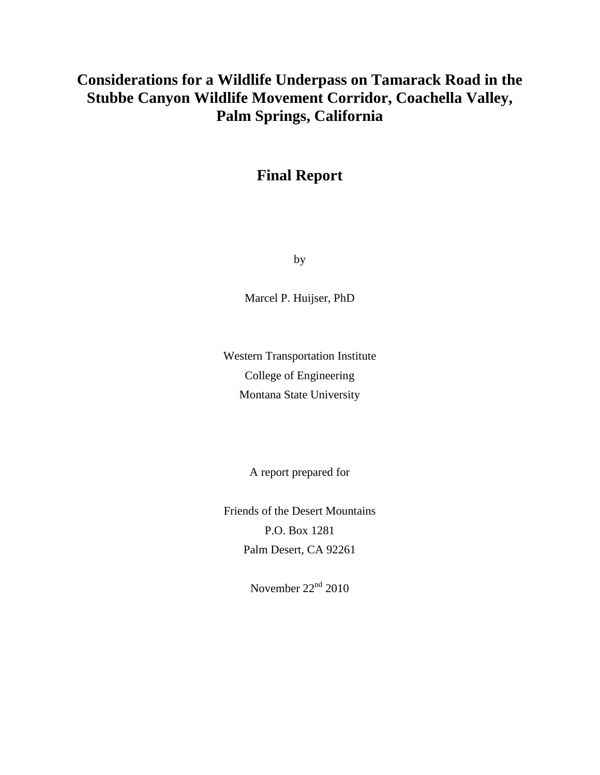# **Considerations for a Wildlife Underpass on Tamarack Road in the Stubbe Canyon Wildlife Movement Corridor, Coachella Valley, Palm Springs, California**

# **Final Report**

by

Marcel P. Huijser, PhD

Western Transportation Institute College of Engineering Montana State University

A report prepared for

Friends of the Desert Mountains P.O. Box 1281 Palm Desert, CA 92261

November  $22<sup>nd</sup> 2010$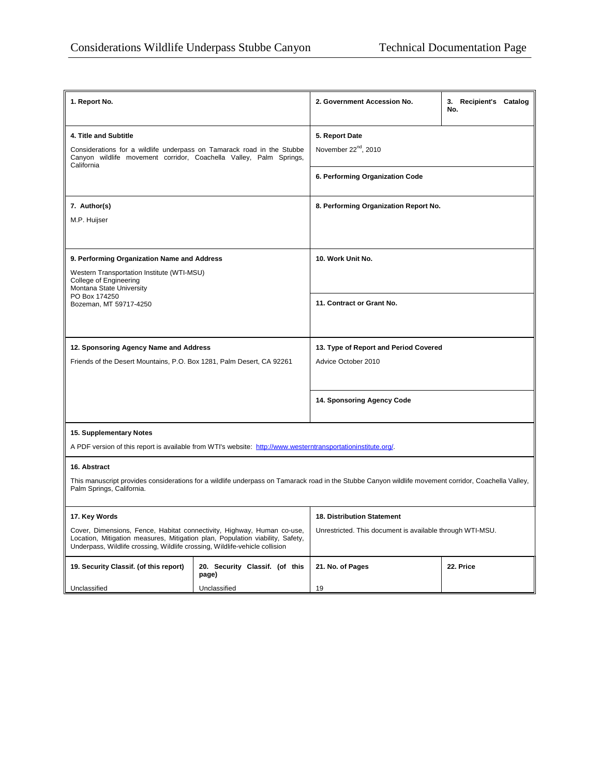| 1. Report No.                                                                                                                                                                                                                          |                                         | 2. Government Accession No.                                                                                                                          | 3. Recipient's Catalog<br>No. |  |  |
|----------------------------------------------------------------------------------------------------------------------------------------------------------------------------------------------------------------------------------------|-----------------------------------------|------------------------------------------------------------------------------------------------------------------------------------------------------|-------------------------------|--|--|
| 4. Title and Subtitle<br>Considerations for a wildlife underpass on Tamarack road in the Stubbe<br>Canyon wildlife movement corridor, Coachella Valley, Palm Springs,<br>California                                                    |                                         | 5. Report Date<br>November 22 <sup>nd</sup> , 2010                                                                                                   |                               |  |  |
|                                                                                                                                                                                                                                        |                                         | 6. Performing Organization Code                                                                                                                      |                               |  |  |
| 7. Author(s)<br>M.P. Huijser                                                                                                                                                                                                           |                                         | 8. Performing Organization Report No.                                                                                                                |                               |  |  |
| 9. Performing Organization Name and Address<br>Western Transportation Institute (WTI-MSU)<br>College of Engineering<br>Montana State University<br>PO Box 174250<br>Bozeman, MT 59717-4250                                             |                                         | 10. Work Unit No.                                                                                                                                    |                               |  |  |
|                                                                                                                                                                                                                                        |                                         |                                                                                                                                                      |                               |  |  |
|                                                                                                                                                                                                                                        |                                         | 11. Contract or Grant No.                                                                                                                            |                               |  |  |
| 12. Sponsoring Agency Name and Address                                                                                                                                                                                                 |                                         | 13. Type of Report and Period Covered                                                                                                                |                               |  |  |
| Friends of the Desert Mountains, P.O. Box 1281, Palm Desert, CA 92261                                                                                                                                                                  |                                         | Advice October 2010                                                                                                                                  |                               |  |  |
|                                                                                                                                                                                                                                        |                                         | 14. Sponsoring Agency Code                                                                                                                           |                               |  |  |
| 15. Supplementary Notes<br>A PDF version of this report is available from WTI's website: http://www.westerntransportationinstitute.org/.                                                                                               |                                         |                                                                                                                                                      |                               |  |  |
| 16. Abstract                                                                                                                                                                                                                           |                                         |                                                                                                                                                      |                               |  |  |
| Palm Springs, California.                                                                                                                                                                                                              |                                         | This manuscript provides considerations for a wildlife underpass on Tamarack road in the Stubbe Canyon wildlife movement corridor, Coachella Valley, |                               |  |  |
| 17. Key Words                                                                                                                                                                                                                          |                                         | <b>18. Distribution Statement</b>                                                                                                                    |                               |  |  |
| Cover, Dimensions, Fence, Habitat connectivity, Highway, Human co-use,<br>Location, Mitigation measures, Mitigation plan, Population viability, Safety,<br>Underpass, Wildlife crossing, Wildlife crossing, Wildlife-vehicle collision |                                         | Unrestricted. This document is available through WTI-MSU.                                                                                            |                               |  |  |
| 19. Security Classif. (of this report)                                                                                                                                                                                                 | 20. Security Classif. (of this<br>page) | 21. No. of Pages                                                                                                                                     | 22. Price                     |  |  |
| Unclassified                                                                                                                                                                                                                           | Unclassified                            | 19                                                                                                                                                   |                               |  |  |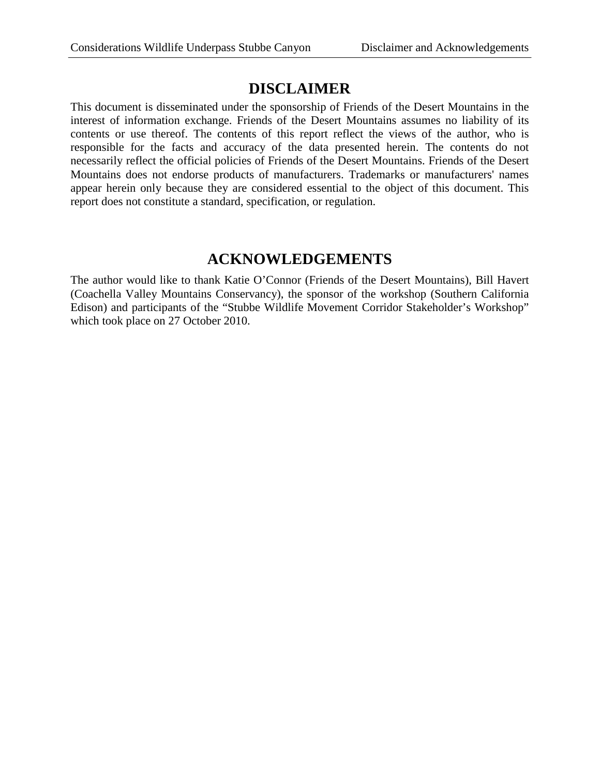## **DISCLAIMER**

This document is disseminated under the sponsorship of Friends of the Desert Mountains in the interest of information exchange. Friends of the Desert Mountains assumes no liability of its contents or use thereof. The contents of this report reflect the views of the author, who is responsible for the facts and accuracy of the data presented herein. The contents do not necessarily reflect the official policies of Friends of the Desert Mountains. Friends of the Desert Mountains does not endorse products of manufacturers. Trademarks or manufacturers' names appear herein only because they are considered essential to the object of this document. This report does not constitute a standard, specification, or regulation.

# **ACKNOWLEDGEMENTS**

The author would like to thank Katie O'Connor (Friends of the Desert Mountains), Bill Havert (Coachella Valley Mountains Conservancy), the sponsor of the workshop (Southern California Edison) and participants of the "Stubbe Wildlife Movement Corridor Stakeholder's Workshop" which took place on 27 October 2010.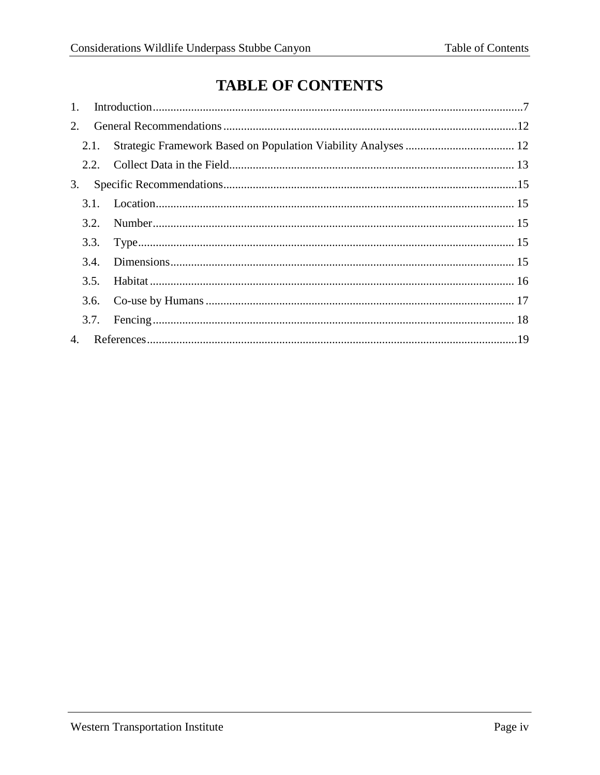# **TABLE OF CONTENTS**

| 1. |      |  |
|----|------|--|
| 2. |      |  |
|    | 2.1. |  |
|    |      |  |
| 3. |      |  |
|    |      |  |
|    |      |  |
|    |      |  |
|    | 3.4. |  |
|    | 3.5. |  |
|    |      |  |
|    |      |  |
|    |      |  |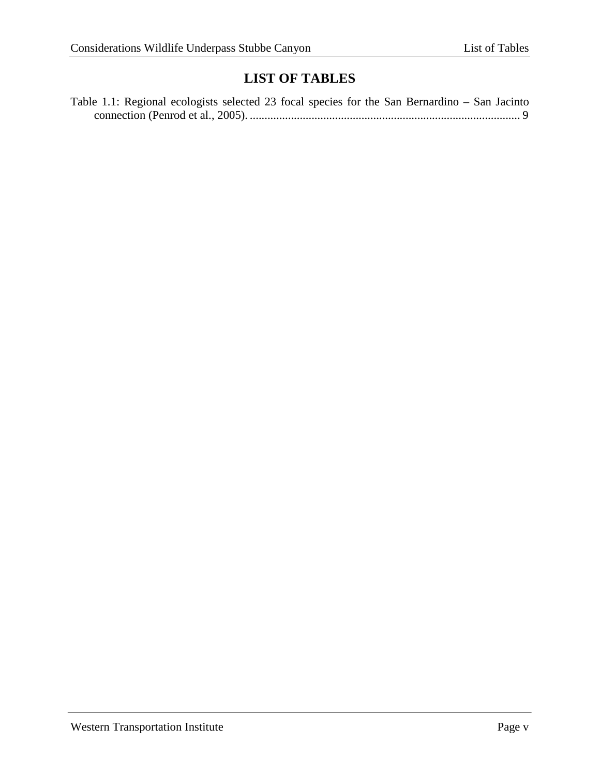# **LIST OF TABLES**

| Table 1.1: Regional ecologists selected 23 focal species for the San Bernardino – San Jacinto |  |  |  |
|-----------------------------------------------------------------------------------------------|--|--|--|
|                                                                                               |  |  |  |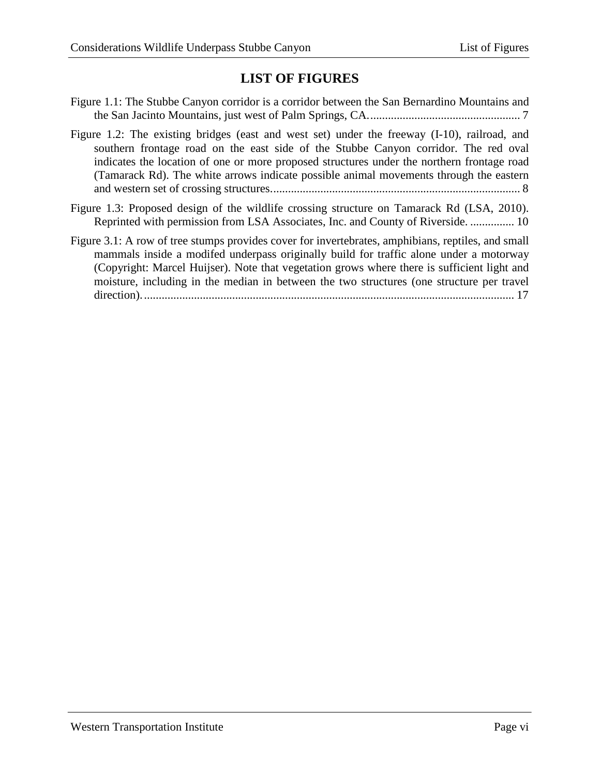# **LIST OF FIGURES**

- [Figure 1.1: The Stubbe Canyon corridor is a corridor between the San Bernardino Mountains and](#page-6-1)  [the San Jacinto Mountains, just west of Palm Springs, CA....................................................](#page-6-1) 7
- [Figure 1.2: The existing bridges \(east and west set\) under the freeway \(I-10\), railroad, and](#page-7-0)  [southern frontage road on the east side of the Stubbe Canyon corridor. The red oval](#page-7-0)  [indicates the location of one or more proposed structures under the northern frontage road](#page-7-0)  [\(Tamarack Rd\). The white arrows indicate possible animal movements through the eastern](#page-7-0)  [and western set of crossing structures.....................................................................................](#page-7-0) 8
- [Figure 1.3: Proposed design of the wildlife crossing structure on Tamarack Rd \(LSA, 2010\).](#page-9-0)  [Reprinted with permission from LSA Associates, Inc. and County of Riverside.](#page-9-0) ............... 10
- [Figure 3.1: A row of tree stumps provides cover for invertebrates, amphibians, reptiles, and small](#page-16-1)  [mammals inside a modifed underpass originally build for traffic alone under a motorway](#page-16-1)  [\(Copyright: Marcel Huijser\). Note that vegetation grows where there is sufficient light and](#page-16-1)  [moisture, including in the median in between the two structures \(one structure per travel](#page-16-1)  [direction\)...............................................................................................................................](#page-16-1) 17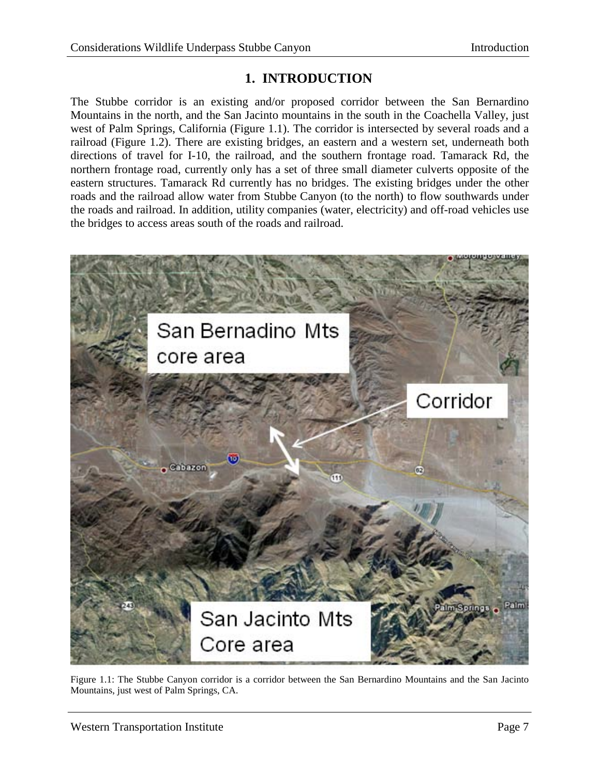# **1. INTRODUCTION**

<span id="page-6-0"></span>The Stubbe corridor is an existing and/or proposed corridor between the San Bernardino Mountains in the north, and the San Jacinto mountains in the south in the Coachella Valley, just west of Palm Springs, California (Figure 1.1). The corridor is intersected by several roads and a railroad (Figure 1.2). There are existing bridges, an eastern and a western set, underneath both directions of travel for I-10, the railroad, and the southern frontage road. Tamarack Rd, the northern frontage road, currently only has a set of three small diameter culverts opposite of the eastern structures. Tamarack Rd currently has no bridges. The existing bridges under the other roads and the railroad allow water from Stubbe Canyon (to the north) to flow southwards under the roads and railroad. In addition, utility companies (water, electricity) and off-road vehicles use the bridges to access areas south of the roads and railroad.

<span id="page-6-1"></span>

Figure 1.1: The Stubbe Canyon corridor is a corridor between the San Bernardino Mountains and the San Jacinto Mountains, just west of Palm Springs, CA.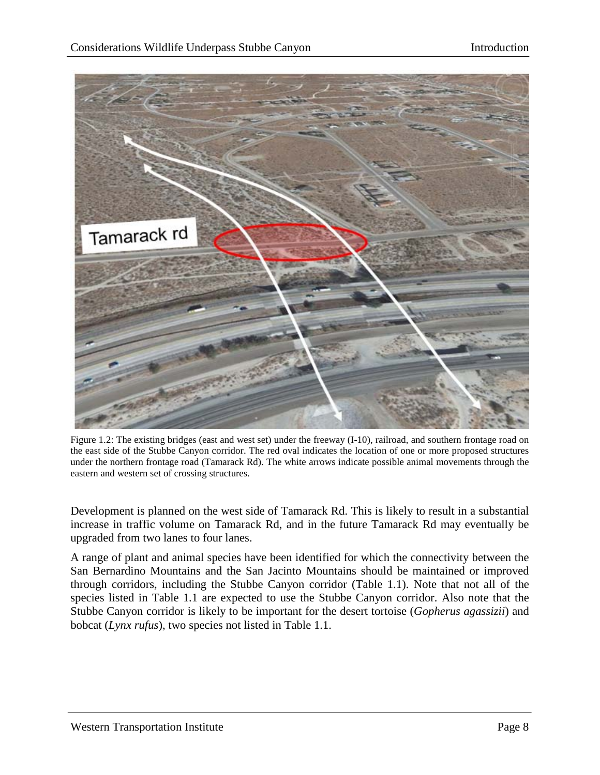

Figure 1.2: The existing bridges (east and west set) under the freeway (I-10), railroad, and southern frontage road on the east side of the Stubbe Canyon corridor. The red oval indicates the location of one or more proposed structures under the northern frontage road (Tamarack Rd). The white arrows indicate possible animal movements through the eastern and western set of crossing structures.

<span id="page-7-0"></span>Development is planned on the west side of Tamarack Rd. This is likely to result in a substantial increase in traffic volume on Tamarack Rd, and in the future Tamarack Rd may eventually be upgraded from two lanes to four lanes.

A range of plant and animal species have been identified for which the connectivity between the San Bernardino Mountains and the San Jacinto Mountains should be maintained or improved through corridors, including the Stubbe Canyon corridor (Table 1.1). Note that not all of the species listed in Table 1.1 are expected to use the Stubbe Canyon corridor. Also note that the Stubbe Canyon corridor is likely to be important for the desert tortoise (*Gopherus agassizii*) and bobcat (*Lynx rufus*), two species not listed in Table 1.1.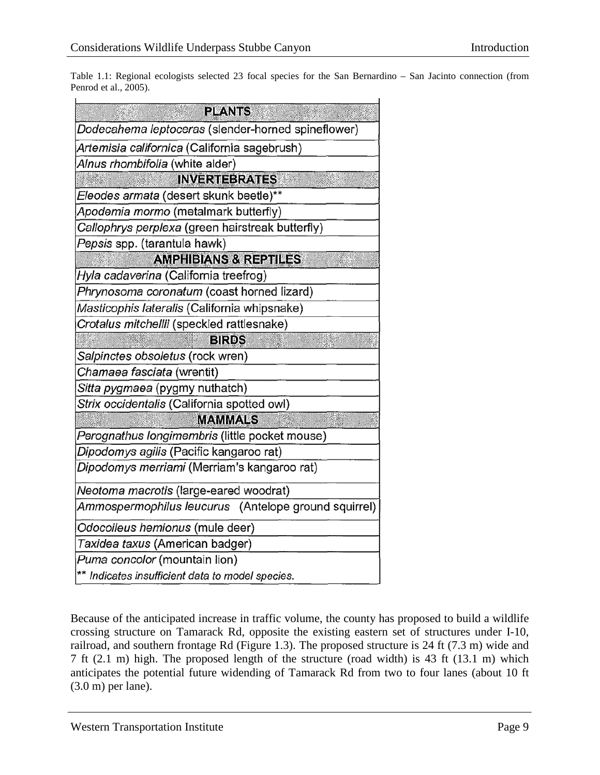<span id="page-8-0"></span>Table 1.1: Regional ecologists selected 23 focal species for the San Bernardino – San Jacinto connection (from Penrod et al., 2005).

| <b>PLANTS</b>                                        |  |  |  |  |
|------------------------------------------------------|--|--|--|--|
| Dodecahema leptoceras (slender-horned spineflower)   |  |  |  |  |
| Artemisia californica (California sagebrush)         |  |  |  |  |
| Alnus rhombifolia (white alder)                      |  |  |  |  |
| <b>INVERTEBRATES</b>                                 |  |  |  |  |
| Eleodes armata (desert skunk beetle)**               |  |  |  |  |
| Apodemia mormo (metalmark butterfly)                 |  |  |  |  |
| Callophrys perplexa (green hairstreak butterfly)     |  |  |  |  |
| Pepsis spp. (tarantula hawk)                         |  |  |  |  |
| <b>AMPHIBIANS &amp; REPTILES</b>                     |  |  |  |  |
| Hyla cadaverina (California treefrog)                |  |  |  |  |
| Phrynosoma coronatum (coast horned lizard)           |  |  |  |  |
| Masticophis lateralis (California whipsnake)         |  |  |  |  |
| Crotalus mitchellii (speckled rattlesnake)           |  |  |  |  |
| <b>BIRDS</b>                                         |  |  |  |  |
| Salpinctes obsoletus (rock wren)                     |  |  |  |  |
| Chamaea fasciata (wrentit)                           |  |  |  |  |
| Sitta pygmaea (pygmy nuthatch)                       |  |  |  |  |
| Strix occidentalis (California spotted owl)          |  |  |  |  |
| <b>MAMMALS</b>                                       |  |  |  |  |
| Perognathus longimembris (little pocket mouse)       |  |  |  |  |
| Dipodomys agilis (Pacific kangaroo rat)              |  |  |  |  |
| Dipodomys merriami (Merriam's kangaroo rat)          |  |  |  |  |
| Neotoma macrotis (large-eared woodrat)               |  |  |  |  |
| Ammospermophilus leucurus (Antelope ground squirrel) |  |  |  |  |
| Odocoileus hemionus (mule deer)                      |  |  |  |  |
| Taxidea taxus (American badger)                      |  |  |  |  |
| Puma concolor (mountain lion)                        |  |  |  |  |
| ** Indicates insufficient data to model species.     |  |  |  |  |

Because of the anticipated increase in traffic volume, the county has proposed to build a wildlife crossing structure on Tamarack Rd, opposite the existing eastern set of structures under I-10, railroad, and southern frontage Rd (Figure 1.3). The proposed structure is 24 ft (7.3 m) wide and 7 ft (2.1 m) high. The proposed length of the structure (road width) is 43 ft (13.1 m) which anticipates the potential future widending of Tamarack Rd from two to four lanes (about 10 ft (3.0 m) per lane).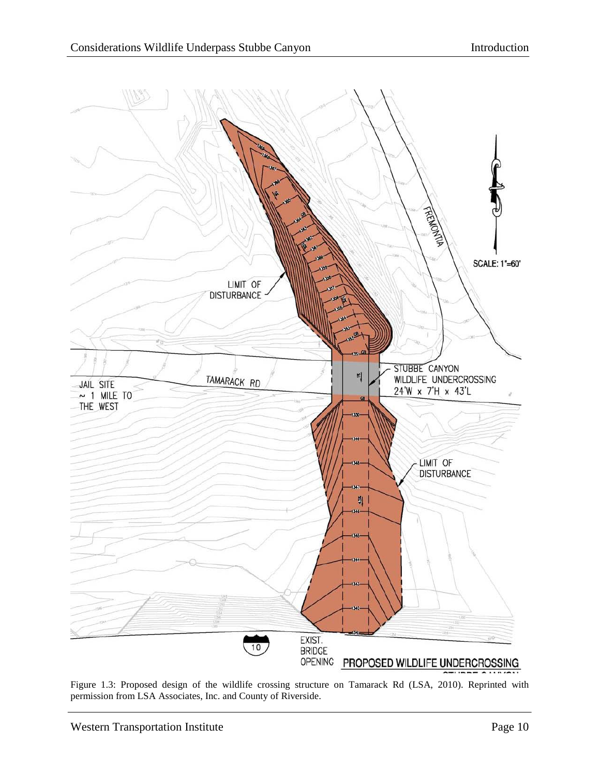

<span id="page-9-0"></span>Figure 1.3: Proposed design of the wildlife crossing structure on Tamarack Rd (LSA, 2010). Reprinted with permission from LSA Associates, Inc. and County of Riverside.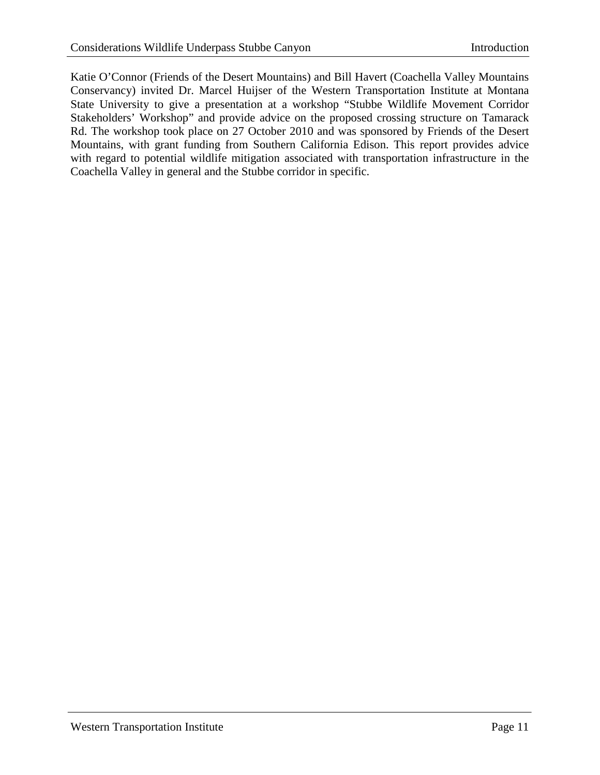Katie O'Connor (Friends of the Desert Mountains) and Bill Havert (Coachella Valley Mountains Conservancy) invited Dr. Marcel Huijser of the Western Transportation Institute at Montana State University to give a presentation at a workshop "Stubbe Wildlife Movement Corridor Stakeholders' Workshop" and provide advice on the proposed crossing structure on Tamarack Rd. The workshop took place on 27 October 2010 and was sponsored by Friends of the Desert Mountains, with grant funding from Southern California Edison. This report provides advice with regard to potential wildlife mitigation associated with transportation infrastructure in the Coachella Valley in general and the Stubbe corridor in specific.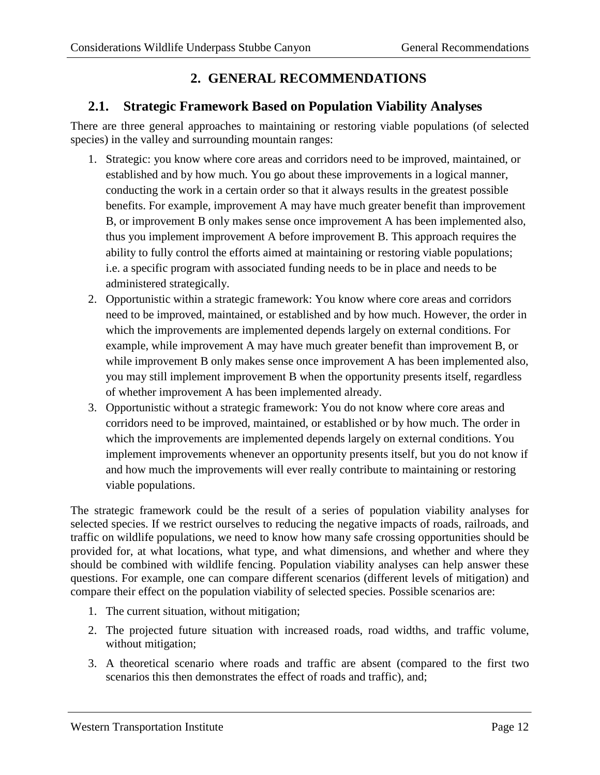# **2. GENERAL RECOMMENDATIONS**

## <span id="page-11-1"></span><span id="page-11-0"></span>**2.1. Strategic Framework Based on Population Viability Analyses**

There are three general approaches to maintaining or restoring viable populations (of selected species) in the valley and surrounding mountain ranges:

- 1. Strategic: you know where core areas and corridors need to be improved, maintained, or established and by how much. You go about these improvements in a logical manner, conducting the work in a certain order so that it always results in the greatest possible benefits. For example, improvement A may have much greater benefit than improvement B, or improvement B only makes sense once improvement A has been implemented also, thus you implement improvement A before improvement B. This approach requires the ability to fully control the efforts aimed at maintaining or restoring viable populations; i.e. a specific program with associated funding needs to be in place and needs to be administered strategically.
- 2. Opportunistic within a strategic framework: You know where core areas and corridors need to be improved, maintained, or established and by how much. However, the order in which the improvements are implemented depends largely on external conditions. For example, while improvement A may have much greater benefit than improvement B, or while improvement B only makes sense once improvement A has been implemented also, you may still implement improvement B when the opportunity presents itself, regardless of whether improvement A has been implemented already.
- 3. Opportunistic without a strategic framework: You do not know where core areas and corridors need to be improved, maintained, or established or by how much. The order in which the improvements are implemented depends largely on external conditions. You implement improvements whenever an opportunity presents itself, but you do not know if and how much the improvements will ever really contribute to maintaining or restoring viable populations.

The strategic framework could be the result of a series of population viability analyses for selected species. If we restrict ourselves to reducing the negative impacts of roads, railroads, and traffic on wildlife populations, we need to know how many safe crossing opportunities should be provided for, at what locations, what type, and what dimensions, and whether and where they should be combined with wildlife fencing. Population viability analyses can help answer these questions. For example, one can compare different scenarios (different levels of mitigation) and compare their effect on the population viability of selected species. Possible scenarios are:

- 1. The current situation, without mitigation;
- 2. The projected future situation with increased roads, road widths, and traffic volume, without mitigation;
- 3. A theoretical scenario where roads and traffic are absent (compared to the first two scenarios this then demonstrates the effect of roads and traffic), and;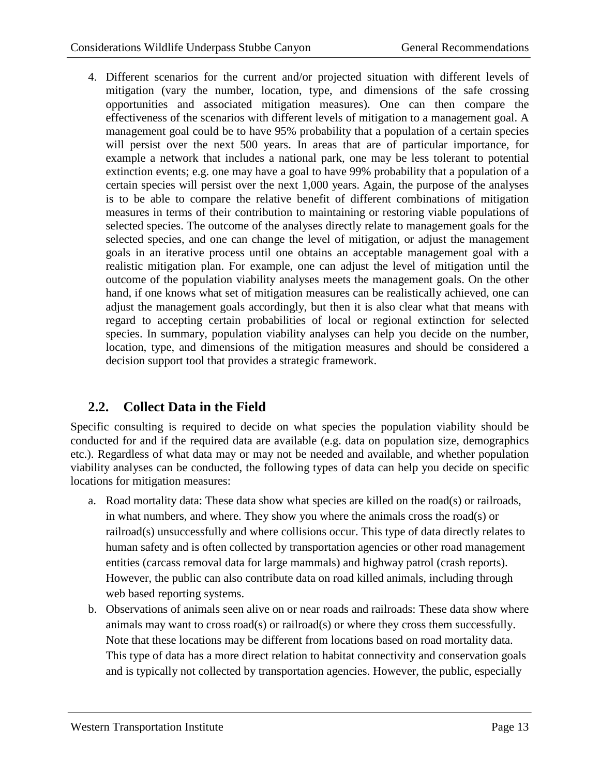4. Different scenarios for the current and/or projected situation with different levels of mitigation (vary the number, location, type, and dimensions of the safe crossing opportunities and associated mitigation measures). One can then compare the effectiveness of the scenarios with different levels of mitigation to a management goal. A management goal could be to have 95% probability that a population of a certain species will persist over the next 500 years. In areas that are of particular importance, for example a network that includes a national park, one may be less tolerant to potential extinction events; e.g. one may have a goal to have 99% probability that a population of a certain species will persist over the next 1,000 years. Again, the purpose of the analyses is to be able to compare the relative benefit of different combinations of mitigation measures in terms of their contribution to maintaining or restoring viable populations of selected species. The outcome of the analyses directly relate to management goals for the selected species, and one can change the level of mitigation, or adjust the management goals in an iterative process until one obtains an acceptable management goal with a realistic mitigation plan. For example, one can adjust the level of mitigation until the outcome of the population viability analyses meets the management goals. On the other hand, if one knows what set of mitigation measures can be realistically achieved, one can adjust the management goals accordingly, but then it is also clear what that means with regard to accepting certain probabilities of local or regional extinction for selected species. In summary, population viability analyses can help you decide on the number, location, type, and dimensions of the mitigation measures and should be considered a decision support tool that provides a strategic framework.

## <span id="page-12-0"></span>**2.2. Collect Data in the Field**

Specific consulting is required to decide on what species the population viability should be conducted for and if the required data are available (e.g. data on population size, demographics etc.). Regardless of what data may or may not be needed and available, and whether population viability analyses can be conducted, the following types of data can help you decide on specific locations for mitigation measures:

- a. Road mortality data: These data show what species are killed on the road(s) or railroads, in what numbers, and where. They show you where the animals cross the road(s) or railroad(s) unsuccessfully and where collisions occur. This type of data directly relates to human safety and is often collected by transportation agencies or other road management entities (carcass removal data for large mammals) and highway patrol (crash reports). However, the public can also contribute data on road killed animals, including through web based reporting systems.
- b. Observations of animals seen alive on or near roads and railroads: These data show where animals may want to cross road(s) or railroad(s) or where they cross them successfully. Note that these locations may be different from locations based on road mortality data. This type of data has a more direct relation to habitat connectivity and conservation goals and is typically not collected by transportation agencies. However, the public, especially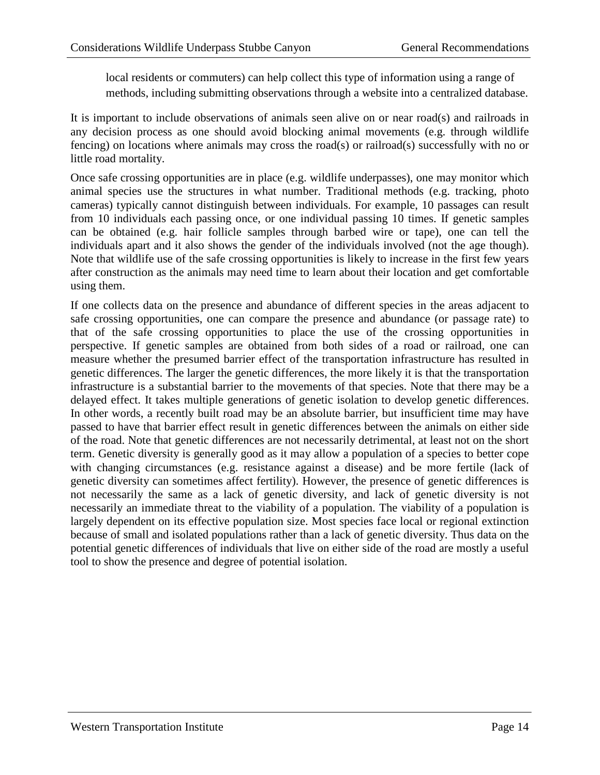local residents or commuters) can help collect this type of information using a range of methods, including submitting observations through a website into a centralized database.

It is important to include observations of animals seen alive on or near road(s) and railroads in any decision process as one should avoid blocking animal movements (e.g. through wildlife fencing) on locations where animals may cross the road(s) or railroad(s) successfully with no or little road mortality.

Once safe crossing opportunities are in place (e.g. wildlife underpasses), one may monitor which animal species use the structures in what number. Traditional methods (e.g. tracking, photo cameras) typically cannot distinguish between individuals. For example, 10 passages can result from 10 individuals each passing once, or one individual passing 10 times. If genetic samples can be obtained (e.g. hair follicle samples through barbed wire or tape), one can tell the individuals apart and it also shows the gender of the individuals involved (not the age though). Note that wildlife use of the safe crossing opportunities is likely to increase in the first few years after construction as the animals may need time to learn about their location and get comfortable using them.

If one collects data on the presence and abundance of different species in the areas adjacent to safe crossing opportunities, one can compare the presence and abundance (or passage rate) to that of the safe crossing opportunities to place the use of the crossing opportunities in perspective. If genetic samples are obtained from both sides of a road or railroad, one can measure whether the presumed barrier effect of the transportation infrastructure has resulted in genetic differences. The larger the genetic differences, the more likely it is that the transportation infrastructure is a substantial barrier to the movements of that species. Note that there may be a delayed effect. It takes multiple generations of genetic isolation to develop genetic differences. In other words, a recently built road may be an absolute barrier, but insufficient time may have passed to have that barrier effect result in genetic differences between the animals on either side of the road. Note that genetic differences are not necessarily detrimental, at least not on the short term. Genetic diversity is generally good as it may allow a population of a species to better cope with changing circumstances (e.g. resistance against a disease) and be more fertile (lack of genetic diversity can sometimes affect fertility). However, the presence of genetic differences is not necessarily the same as a lack of genetic diversity, and lack of genetic diversity is not necessarily an immediate threat to the viability of a population. The viability of a population is largely dependent on its effective population size. Most species face local or regional extinction because of small and isolated populations rather than a lack of genetic diversity. Thus data on the potential genetic differences of individuals that live on either side of the road are mostly a useful tool to show the presence and degree of potential isolation.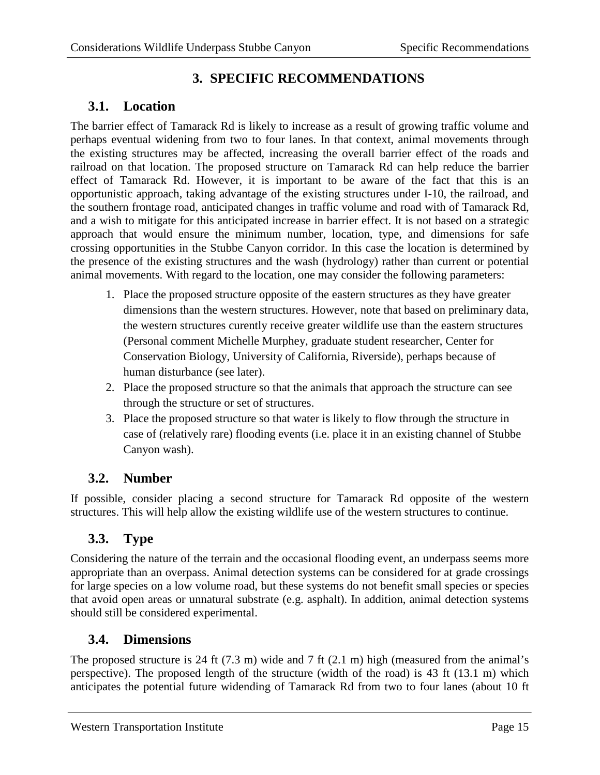# **3. SPECIFIC RECOMMENDATIONS**

## <span id="page-14-1"></span><span id="page-14-0"></span>**3.1. Location**

The barrier effect of Tamarack Rd is likely to increase as a result of growing traffic volume and perhaps eventual widening from two to four lanes. In that context, animal movements through the existing structures may be affected, increasing the overall barrier effect of the roads and railroad on that location. The proposed structure on Tamarack Rd can help reduce the barrier effect of Tamarack Rd. However, it is important to be aware of the fact that this is an opportunistic approach, taking advantage of the existing structures under I-10, the railroad, and the southern frontage road, anticipated changes in traffic volume and road with of Tamarack Rd, and a wish to mitigate for this anticipated increase in barrier effect. It is not based on a strategic approach that would ensure the minimum number, location, type, and dimensions for safe crossing opportunities in the Stubbe Canyon corridor. In this case the location is determined by the presence of the existing structures and the wash (hydrology) rather than current or potential animal movements. With regard to the location, one may consider the following parameters:

- 1. Place the proposed structure opposite of the eastern structures as they have greater dimensions than the western structures. However, note that based on preliminary data, the western structures curently receive greater wildlife use than the eastern structures (Personal comment Michelle Murphey, graduate student researcher, Center for Conservation Biology, University of California, Riverside), perhaps because of human disturbance (see later).
- 2. Place the proposed structure so that the animals that approach the structure can see through the structure or set of structures.
- 3. Place the proposed structure so that water is likely to flow through the structure in case of (relatively rare) flooding events (i.e. place it in an existing channel of Stubbe Canyon wash).

#### <span id="page-14-2"></span>**3.2. Number**

If possible, consider placing a second structure for Tamarack Rd opposite of the western structures. This will help allow the existing wildlife use of the western structures to continue.

## <span id="page-14-3"></span>**3.3. Type**

Considering the nature of the terrain and the occasional flooding event, an underpass seems more appropriate than an overpass. Animal detection systems can be considered for at grade crossings for large species on a low volume road, but these systems do not benefit small species or species that avoid open areas or unnatural substrate (e.g. asphalt). In addition, animal detection systems should still be considered experimental.

#### <span id="page-14-4"></span>**3.4. Dimensions**

The proposed structure is 24 ft (7.3 m) wide and 7 ft (2.1 m) high (measured from the animal's perspective). The proposed length of the structure (width of the road) is 43 ft (13.1 m) which anticipates the potential future widending of Tamarack Rd from two to four lanes (about 10 ft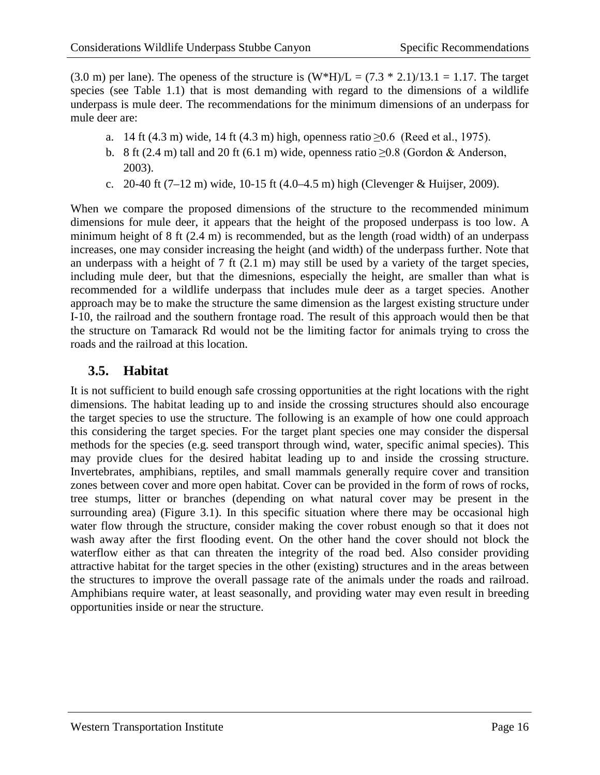(3.0 m) per lane). The openess of the structure is  $(W^*H)/L = (7.3 * 2.1)/13.1 = 1.17$ . The target species (see Table 1.1) that is most demanding with regard to the dimensions of a wildlife underpass is mule deer. The recommendations for the minimum dimensions of an underpass for mule deer are:

- a. 14 ft (4.3 m) wide, 14 ft (4.3 m) high, openness ratio ≥0.6 (Reed et al., 1975).
- b. 8 ft (2.4 m) tall and 20 ft (6.1 m) wide, openness ratio  $>0.8$  (Gordon & Anderson, 2003).
- c. 20-40 ft  $(7-12 \text{ m})$  wide, 10-15 ft  $(4.0-4.5 \text{ m})$  high (Clevenger & Huijser, 2009).

When we compare the proposed dimensions of the structure to the recommended minimum dimensions for mule deer, it appears that the height of the proposed underpass is too low. A minimum height of 8 ft (2.4 m) is recommended, but as the length (road width) of an underpass increases, one may consider increasing the height (and width) of the underpass further. Note that an underpass with a height of 7 ft (2.1 m) may still be used by a variety of the target species, including mule deer, but that the dimesnions, especially the height, are smaller than what is recommended for a wildlife underpass that includes mule deer as a target species. Another approach may be to make the structure the same dimension as the largest existing structure under I-10, the railroad and the southern frontage road. The result of this approach would then be that the structure on Tamarack Rd would not be the limiting factor for animals trying to cross the roads and the railroad at this location.

#### <span id="page-15-0"></span>**3.5. Habitat**

It is not sufficient to build enough safe crossing opportunities at the right locations with the right dimensions. The habitat leading up to and inside the crossing structures should also encourage the target species to use the structure. The following is an example of how one could approach this considering the target species. For the target plant species one may consider the dispersal methods for the species (e.g. seed transport through wind, water, specific animal species). This may provide clues for the desired habitat leading up to and inside the crossing structure. Invertebrates, amphibians, reptiles, and small mammals generally require cover and transition zones between cover and more open habitat. Cover can be provided in the form of rows of rocks, tree stumps, litter or branches (depending on what natural cover may be present in the surrounding area) (Figure 3.1). In this specific situation where there may be occasional high water flow through the structure, consider making the cover robust enough so that it does not wash away after the first flooding event. On the other hand the cover should not block the waterflow either as that can threaten the integrity of the road bed. Also consider providing attractive habitat for the target species in the other (existing) structures and in the areas between the structures to improve the overall passage rate of the animals under the roads and railroad. Amphibians require water, at least seasonally, and providing water may even result in breeding opportunities inside or near the structure.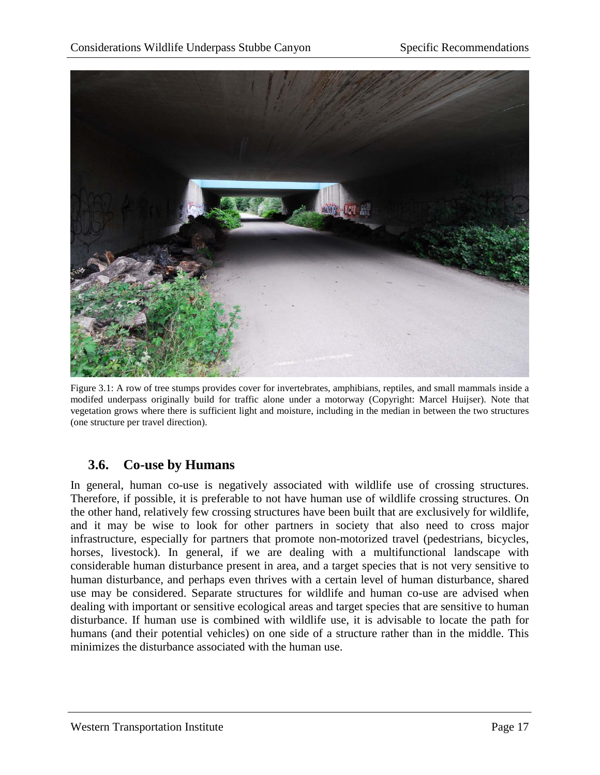

Figure 3.1: A row of tree stumps provides cover for invertebrates, amphibians, reptiles, and small mammals inside a modifed underpass originally build for traffic alone under a motorway (Copyright: Marcel Huijser). Note that vegetation grows where there is sufficient light and moisture, including in the median in between the two structures (one structure per travel direction).

#### <span id="page-16-1"></span><span id="page-16-0"></span>**3.6. Co-use by Humans**

In general, human co-use is negatively associated with wildlife use of crossing structures. Therefore, if possible, it is preferable to not have human use of wildlife crossing structures. On the other hand, relatively few crossing structures have been built that are exclusively for wildlife, and it may be wise to look for other partners in society that also need to cross major infrastructure, especially for partners that promote non-motorized travel (pedestrians, bicycles, horses, livestock). In general, if we are dealing with a multifunctional landscape with considerable human disturbance present in area, and a target species that is not very sensitive to human disturbance, and perhaps even thrives with a certain level of human disturbance, shared use may be considered. Separate structures for wildlife and human co-use are advised when dealing with important or sensitive ecological areas and target species that are sensitive to human disturbance. If human use is combined with wildlife use, it is advisable to locate the path for humans (and their potential vehicles) on one side of a structure rather than in the middle. This minimizes the disturbance associated with the human use.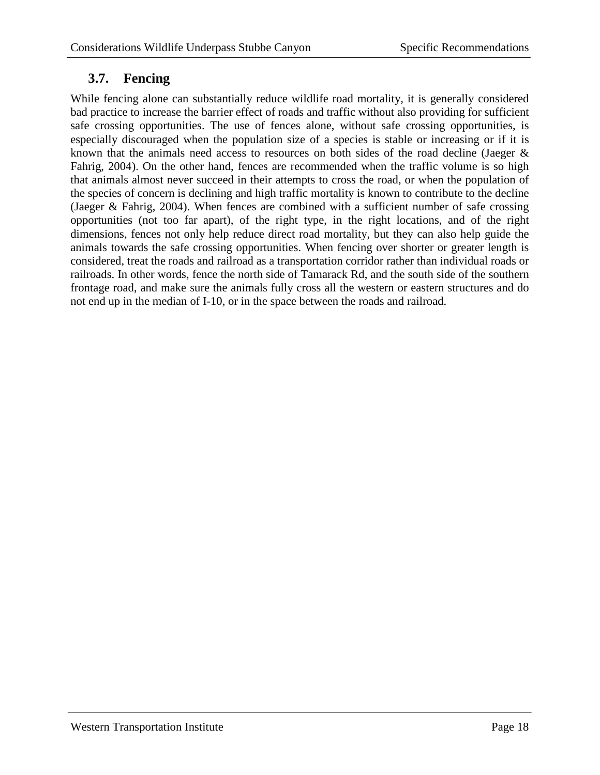## <span id="page-17-0"></span>**3.7. Fencing**

While fencing alone can substantially reduce wildlife road mortality, it is generally considered bad practice to increase the barrier effect of roads and traffic without also providing for sufficient safe crossing opportunities. The use of fences alone, without safe crossing opportunities, is especially discouraged when the population size of a species is stable or increasing or if it is known that the animals need access to resources on both sides of the road decline (Jaeger  $\&$ Fahrig, 2004). On the other hand, fences are recommended when the traffic volume is so high that animals almost never succeed in their attempts to cross the road, or when the population of the species of concern is declining and high traffic mortality is known to contribute to the decline (Jaeger & Fahrig, 2004). When fences are combined with a sufficient number of safe crossing opportunities (not too far apart), of the right type, in the right locations, and of the right dimensions, fences not only help reduce direct road mortality, but they can also help guide the animals towards the safe crossing opportunities. When fencing over shorter or greater length is considered, treat the roads and railroad as a transportation corridor rather than individual roads or railroads. In other words, fence the north side of Tamarack Rd, and the south side of the southern frontage road, and make sure the animals fully cross all the western or eastern structures and do not end up in the median of I-10, or in the space between the roads and railroad.